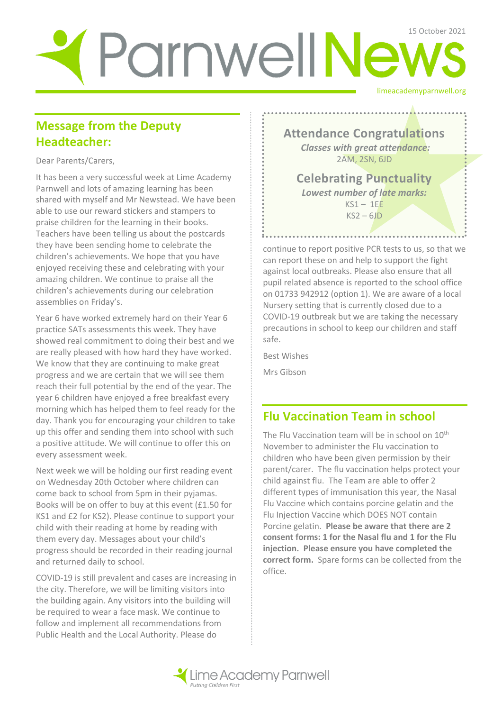# limeacademyparnwell.org Parnwell News

## **Message from the Deputy Headteacher:**

Dear Parents/Carers,

It has been a very successful week at Lime Academy Parnwell and lots of amazing learning has been shared with myself and Mr Newstead. We have been able to use our reward stickers and stampers to praise children for the learning in their books. Teachers have been telling us about the postcards they have been sending home to celebrate the children's achievements. We hope that you have enjoyed receiving these and celebrating with your amazing children. We continue to praise all the children's achievements during our celebration assemblies on Friday's.

Year 6 have worked extremely hard on their Year 6 practice SATs assessments this week. They have showed real commitment to doing their best and we are really pleased with how hard they have worked. We know that they are continuing to make great progress and we are certain that we will see them reach their full potential by the end of the year. The year 6 children have enjoyed a free breakfast every morning which has helped them to feel ready for the day. Thank you for encouraging your children to take up this offer and sending them into school with such a positive attitude. We will continue to offer this on every assessment week.

Next week we will be holding our first reading event on Wednesday 20th October where children can come back to school from 5pm in their pyjamas. Books will be on offer to buy at this event (£1.50 for KS1 and £2 for KS2). Please continue to support your child with their reading at home by reading with them every day. Messages about your child's progress should be recorded in their reading journal and returned daily to school.

COVID-19 is still prevalent and cases are increasing in the city. Therefore, we will be limiting visitors into the building again. Any visitors into the building will be required to wear a face mask. We continue to follow and implement all recommendations from Public Health and the Local Authority. Please do

**Attendance Congratulations** *Classes with great attendance:* 2AM, 2SN, 6JD

**Celebrating Punctuality**  *Lowest number of late marks:*   $KS1 - 1EE$  $KS2 - 6JD$ 

continue to report positive PCR tests to us, so that we can report these on and help to support the fight against local outbreaks. Please also ensure that all pupil related absence is reported to the school office on 01733 942912 (option 1). We are aware of a local Nursery setting that is currently closed due to a COVID-19 outbreak but we are taking the necessary precautions in school to keep our children and staff safe.

Best Wishes

Mrs Gibson

## **Flu Vaccination Team in school**

The Flu Vaccination team will be in school on 10<sup>th</sup> November to administer the Flu vaccination to children who have been given permission by their parent/carer. The flu vaccination helps protect your child against flu. The Team are able to offer 2 different types of immunisation this year, the Nasal Flu Vaccine which contains porcine gelatin and the Flu Injection Vaccine which DOES NOT contain Porcine gelatin. **Please be aware that there are 2 consent forms: 1 for the Nasal flu and 1 for the Flu injection. Please ensure you have completed the correct form.** Spare forms can be collected from the office.

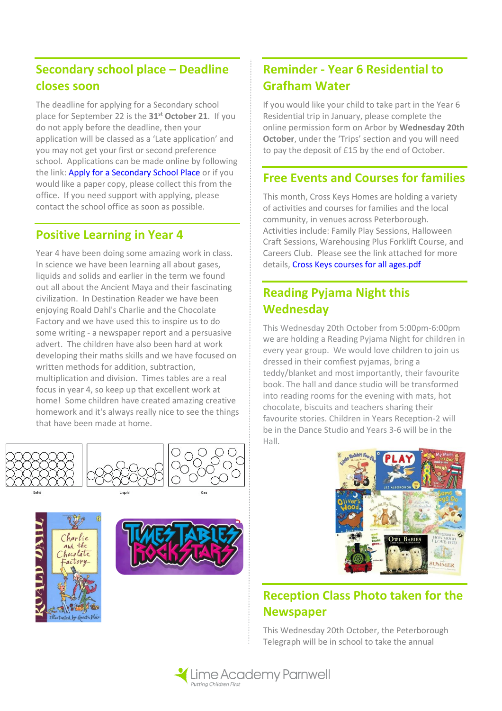## **Secondary school place – Deadline closes soon**

The deadline for applying for a Secondary school place for September 22 is the **31st October 21**. If you do not apply before the deadline, then your application will be classed as a 'Late application' and you may not get your first or second preference school. Applications can be made online by following the link: [Apply for a Secondary School Place](https://live.cloud.servelec-synergy.com/Peterborough/Synergy/Parents/default.aspx) or if you would like a paper copy, please collect this from the office. If you need support with applying, please contact the school office as soon as possible.

#### **Positive Learning in Year 4**

Year 4 have been doing some amazing work in class. In science we have been learning all about gases, liquids and solids and earlier in the term we found out all about the Ancient Maya and their fascinating civilization. In Destination Reader we have been enjoying Roald Dahl's Charlie and the Chocolate Factory and we have used this to inspire us to do some writing - a newspaper report and a persuasive advert. The children have also been hard at work developing their maths skills and we have focused on written methods for addition, subtraction, multiplication and division. Times tables are a real focus in year 4, so keep up that excellent work at home! Some children have created amazing creative homework and it's always really nice to see the things that have been made at home.







## **Reminder - Year 6 Residential to Grafham Water**

If you would like your child to take part in the Year 6 Residential trip in January, please complete the online permission form on Arbor by **Wednesday 20th October**, under the 'Trips' section and you will need to pay the deposit of £15 by the end of October.

#### **Free Events and Courses for families**

This month, Cross Keys Homes are holding a variety of activities and courses for families and the local community, in venues across Peterborough. Activities include: Family Play Sessions, Halloween Craft Sessions, Warehousing Plus Forklift Course, and Careers Club. Please see the link attached for more details[, Cross Keys courses for all ages.pdf](../My%20Pictures/Cross%20Keys%20courses%20for%20all%20ages.pdf) 

#### **Reading Pyjama Night this Wednesday**

This Wednesday 20th October from 5:00pm-6:00pm we are holding a Reading Pyjama Night for children in every year group. We would love children to join us dressed in their comfiest pyjamas, bring a teddy/blanket and most importantly, their favourite book. The hall and dance studio will be transformed into reading rooms for the evening with mats, hot chocolate, biscuits and teachers sharing their favourite stories. Children in Years Reception-2 will be in the Dance Studio and Years 3-6 will be in the Hall.



## **Reception Class Photo taken for the Newspaper**

This Wednesday 20th October, the Peterborough Telegraph will be in school to take the annual